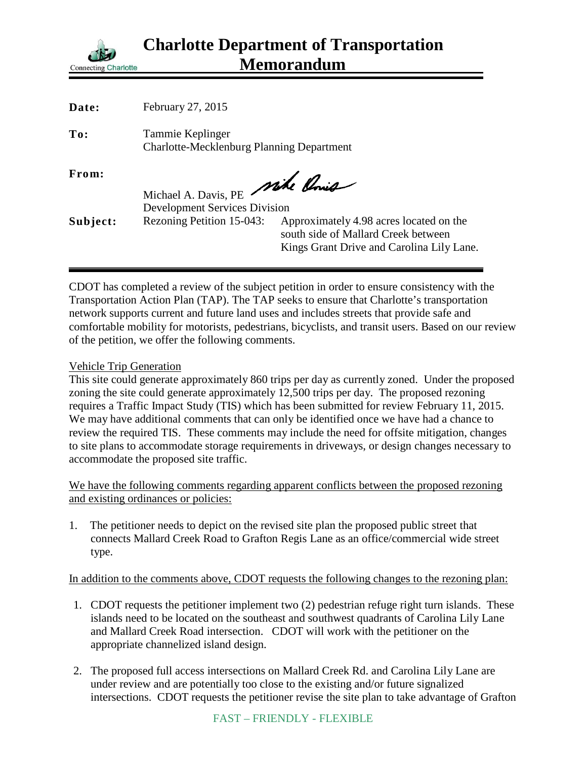

| Date:    | February 27, 2015                                                    |                                                                                                                             |
|----------|----------------------------------------------------------------------|-----------------------------------------------------------------------------------------------------------------------------|
| To:      | Tammie Keplinger<br><b>Charlotte-Mecklenburg Planning Department</b> |                                                                                                                             |
| From:    | Michael A. Davis, PE Mike Ponis                                      |                                                                                                                             |
|          | <b>Development Services Division</b>                                 |                                                                                                                             |
| Subject: | Rezoning Petition 15-043:                                            | Approximately 4.98 acres located on the<br>south side of Mallard Creek between<br>Kings Grant Drive and Carolina Lily Lane. |
|          |                                                                      |                                                                                                                             |

CDOT has completed a review of the subject petition in order to ensure consistency with the Transportation Action Plan (TAP). The TAP seeks to ensure that Charlotte's transportation network supports current and future land uses and includes streets that provide safe and comfortable mobility for motorists, pedestrians, bicyclists, and transit users. Based on our review of the petition, we offer the following comments.

## Vehicle Trip Generation

This site could generate approximately 860 trips per day as currently zoned. Under the proposed zoning the site could generate approximately 12,500 trips per day. The proposed rezoning requires a Traffic Impact Study (TIS) which has been submitted for review February 11, 2015. We may have additional comments that can only be identified once we have had a chance to review the required TIS. These comments may include the need for offsite mitigation, changes to site plans to accommodate storage requirements in driveways, or design changes necessary to accommodate the proposed site traffic.

We have the following comments regarding apparent conflicts between the proposed rezoning and existing ordinances or policies:

1. The petitioner needs to depict on the revised site plan the proposed public street that connects Mallard Creek Road to Grafton Regis Lane as an office/commercial wide street type.

In addition to the comments above, CDOT requests the following changes to the rezoning plan:

- 1. CDOT requests the petitioner implement two (2) pedestrian refuge right turn islands. These islands need to be located on the southeast and southwest quadrants of Carolina Lily Lane and Mallard Creek Road intersection. CDOT will work with the petitioner on the appropriate channelized island design.
- 2. The proposed full access intersections on Mallard Creek Rd. and Carolina Lily Lane are under review and are potentially too close to the existing and/or future signalized intersections. CDOT requests the petitioner revise the site plan to take advantage of Grafton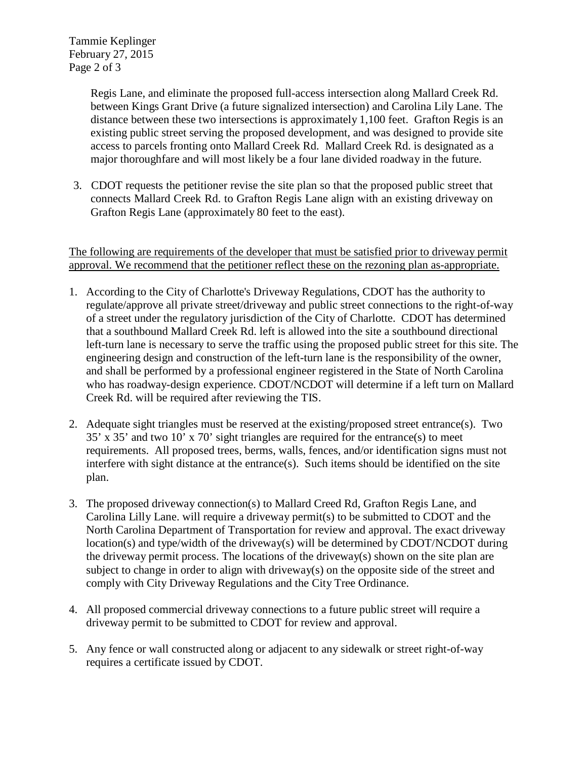Tammie Keplinger February 27, 2015 Page 2 of 3

> Regis Lane, and eliminate the proposed full-access intersection along Mallard Creek Rd. between Kings Grant Drive (a future signalized intersection) and Carolina Lily Lane. The distance between these two intersections is approximately 1,100 feet. Grafton Regis is an existing public street serving the proposed development, and was designed to provide site access to parcels fronting onto Mallard Creek Rd. Mallard Creek Rd. is designated as a major thoroughfare and will most likely be a four lane divided roadway in the future.

3. CDOT requests the petitioner revise the site plan so that the proposed public street that connects Mallard Creek Rd. to Grafton Regis Lane align with an existing driveway on Grafton Regis Lane (approximately 80 feet to the east).

The following are requirements of the developer that must be satisfied prior to driveway permit approval. We recommend that the petitioner reflect these on the rezoning plan as-appropriate.

- 1. According to the City of Charlotte's Driveway Regulations, CDOT has the authority to regulate/approve all private street/driveway and public street connections to the right-of-way of a street under the regulatory jurisdiction of the City of Charlotte. CDOT has determined that a southbound Mallard Creek Rd. left is allowed into the site a southbound directional left-turn lane is necessary to serve the traffic using the proposed public street for this site. The engineering design and construction of the left-turn lane is the responsibility of the owner, and shall be performed by a professional engineer registered in the State of North Carolina who has roadway-design experience. CDOT/NCDOT will determine if a left turn on Mallard Creek Rd. will be required after reviewing the TIS.
- 2. Adequate sight triangles must be reserved at the existing/proposed street entrance(s). Two 35' x 35' and two 10' x 70' sight triangles are required for the entrance(s) to meet requirements. All proposed trees, berms, walls, fences, and/or identification signs must not interfere with sight distance at the entrance(s). Such items should be identified on the site plan.
- 3. The proposed driveway connection(s) to Mallard Creed Rd, Grafton Regis Lane, and Carolina Lilly Lane. will require a driveway permit(s) to be submitted to CDOT and the North Carolina Department of Transportation for review and approval. The exact driveway location(s) and type/width of the driveway(s) will be determined by CDOT/NCDOT during the driveway permit process. The locations of the driveway(s) shown on the site plan are subject to change in order to align with driveway(s) on the opposite side of the street and comply with City Driveway Regulations and the City Tree Ordinance.
- 4. All proposed commercial driveway connections to a future public street will require a driveway permit to be submitted to CDOT for review and approval.
- 5. Any fence or wall constructed along or adjacent to any sidewalk or street right-of-way requires a certificate issued by CDOT.